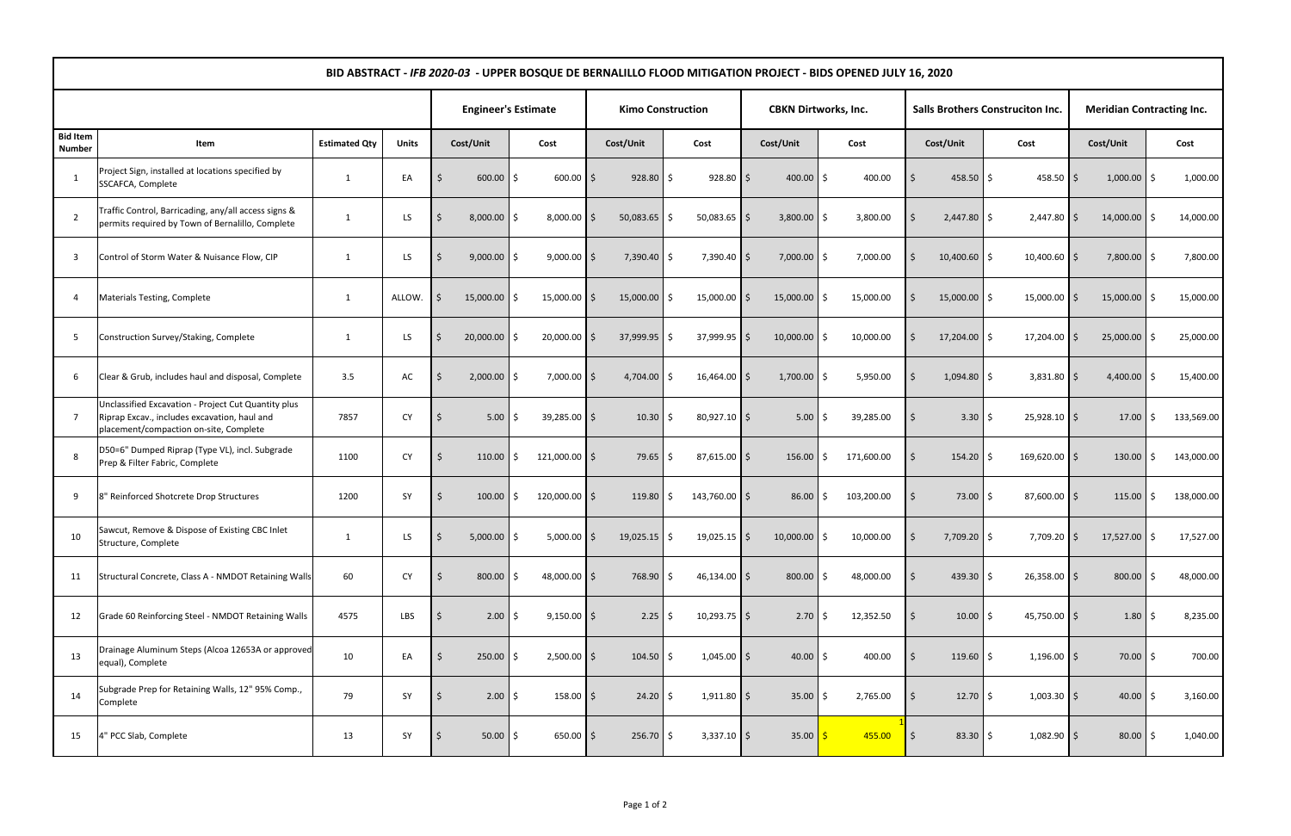| BID ABSTRACT - IFB 2020-03 - UPPER BOSQUE DE BERNALILLO FLOOD MITIGATION PROJECT - BIDS OPENED JULY 16, 2020 |                                                                                                                                               |                      |              |                            |                       |                          |                      |                             |                  |                                         |                |                                  |                  |
|--------------------------------------------------------------------------------------------------------------|-----------------------------------------------------------------------------------------------------------------------------------------------|----------------------|--------------|----------------------------|-----------------------|--------------------------|----------------------|-----------------------------|------------------|-----------------------------------------|----------------|----------------------------------|------------------|
|                                                                                                              |                                                                                                                                               |                      |              | <b>Engineer's Estimate</b> |                       | <b>Kimo Construction</b> |                      | <b>CBKN Dirtworks, Inc.</b> |                  | <b>Salls Brothers Construciton Inc.</b> |                | <b>Meridian Contracting Inc.</b> |                  |
| <b>Bid Item</b><br><b>Number</b>                                                                             | Item                                                                                                                                          | <b>Estimated Qty</b> | <b>Units</b> | Cost/Unit                  | Cost                  | Cost/Unit                | Cost                 | Cost/Unit                   | Cost             | Cost/Unit                               | Cost           | Cost/Unit                        | Cost             |
| -1                                                                                                           | Project Sign, installed at locations specified by<br>SSCAFCA, Complete                                                                        | -1                   | EA           | $600.00$ \$                | $600.00$ \$           | 928.80                   | $928.80$ \$<br>Ŝ.    | $400.00$ \$                 | 400.00           | 458.50                                  | $458.50$ \$    | $1,000.00$ \$                    | 1,000.00         |
| $\overline{2}$                                                                                               | Traffic Control, Barricading, any/all access signs &<br>permits required by Town of Bernalillo, Complete                                      | $\overline{1}$       | LS           | 8,000.00                   | $8,000.00$ \$<br>S.   | 50,083.65                | $50,083.65$ \$<br>Ś  | 3,800.00                    | 3,800.00         | $2,447.80$ \$                           | $2,447.80$ \$  | $14,000.00$ \$                   | 14,000.00        |
| -3                                                                                                           | Control of Storm Water & Nuisance Flow, CIP                                                                                                   | -1                   | LS           | 9,000.00                   | $9,000.00$ \$<br>S.   | 7,390.40                 | \$<br>7,390.40 \$    | 7,000.00                    | 7,000.00<br>Ś    | $10,400.60$ \$                          | 10,400.60 \$   | 7,800.00 \$                      | 7,800.00         |
| 4                                                                                                            | Materials Testing, Complete                                                                                                                   | -1                   | ALLOW.       | $15,000.00$ \$             | $15,000.00$ \$        | 15,000.00                | 15,000.00 \$<br>Ŝ.   | 15,000.00                   | 15,000.00<br>Ś.  | 15,000.00                               | $15,000.00$ \$ | 15,000.00                        | 15,000.00<br>S.  |
| 5                                                                                                            | Construction Survey/Staking, Complete                                                                                                         | -1                   | LS           | 20,000.00                  | $20,000.00$ \$        | 37,999.95                | 37,999.95 \$<br>Ś.   | 10,000.00                   | 10,000.00        | 17,204.00                               | $17,204.00$ \$ | 25,000.00                        | 25,000.00        |
| 6                                                                                                            | Clear & Grub, includes haul and disposal, Complete                                                                                            | 3.5                  | AC           | 2,000.00<br>-S             | $7,000.00$ \$<br>S.   | 4,704.00                 | Ŝ.<br>16,464.00 \$   | 1,700.00                    | 5,950.00         | $1,094.80$ \$                           | $3,831.80$ \$  | 4,400.00                         | 15,400.00<br>S.  |
|                                                                                                              | Unclassified Excavation - Project Cut Quantity plus<br>Riprap Excav., includes excavation, haul and<br>placement/compaction on-site, Complete | 7857                 | <b>CY</b>    | 5.00<br>-Ś                 | $39,285.00$ \$<br>S.  | 10.30                    | 80,927.10 \$<br>\$   | 5.00                        | 39,285.00<br>Ś.  | $3.30 \mid \xi$                         | $25,928.10$ \$ | $17.00$ S                        | 133,569.00       |
| 8                                                                                                            | D50=6" Dumped Riprap (Type VL), incl. Subgrade<br>Prep & Filter Fabric, Complete                                                              | 1100                 | <b>CY</b>    | 110.00                     | 121,000.00 \$<br>Ŝ.   | 79.65                    | $87,615.00$ \$<br>\$ | 156.00                      | 171,600.00<br>Ś. | 154.20                                  | 169,620.00 \$  | 130.00                           | 143,000.00<br>\$ |
| 9                                                                                                            | 8" Reinforced Shotcrete Drop Structures                                                                                                       | 1200                 | SY           | 100.00<br>-S               | 120,000.00 \$<br>Ŝ.   | 119.80                   | 143,760.00 \$<br>\$  | 86.00                       | 103,200.00<br>Ś. | 73.00                                   | 87,600.00 \$   | 115.00                           | 138,000.00<br>S. |
| 10                                                                                                           | Sawcut, Remove & Dispose of Existing CBC Inlet<br>Structure, Complete                                                                         |                      | LS.          | $5,000.00$ \$<br>l S       | $5,000.00$ \$         | $19,025.15$ \$           | $19,025.15$ \$       | $10,000.00$ \$              | 10,000.00        | 7,709.20 \$<br>$\zeta$                  | 7,709.20 \$    | $17,527.00$ \$                   | 17,527.00        |
| 11                                                                                                           | Structural Concrete, Class A - NMDOT Retaining Walls                                                                                          | 60                   | <b>CY</b>    | $800.00$ \$                | 48,000.00 \$          | 768.90                   | \$<br>46,134.00 \$   | 800.00                      | 48,000.00        | 439.30 $\frac{1}{2}$<br>Ŝ.              | 26,358.00 \$   | $800.00$ \$                      | 48,000.00        |
| 12                                                                                                           | Grade 60 Reinforcing Steel - NMDOT Retaining Walls                                                                                            | 4575                 | LBS          | 2.00<br>- S                | $9,150.00$ \$<br>l \$ | 2.25                     | $10,293.75$ \$<br>\$ | $2.70$   \$                 | 12,352.50        | $10.00$ \$                              | 45,750.00 \$   | $1.80 \, \vert \, \xi$           | 8,235.00         |
| 13                                                                                                           | Drainage Aluminum Steps (Alcoa 12653A or approved<br>equal), Complete                                                                         | 10                   | EA           | 250.00<br>-Ś               | $2,500.00$ \$<br>S.   | $104.50$ \$              | $1,045.00$ \$        | $40.00$ \$                  | 400.00           | $119.60$ \$                             | $1,196.00$ \$  | $70.00$ \$                       | 700.00           |
| 14                                                                                                           | Subgrade Prep for Retaining Walls, 12" 95% Comp.,<br>Complete                                                                                 | 79                   | SY           | $2.00$ \$<br>- S           | $158.00$ \$           | $24.20$ \$               | $1,911.80$ \$        | $35.00$ \$                  | 2,765.00         | $12.70$ \$                              | $1,003.30$ \$  | $40.00$ \$                       | 3,160.00         |
| 15                                                                                                           | 4" PCC Slab, Complete                                                                                                                         | 13                   | SY           | $50.00$ \$<br>-S           | $650.00$ \$           | 256.70                   | \$<br>$3,337.10$ \$  | 35.00                       | 455.00           | $83.30$ \$<br>\$                        | $1,082.90$ \$  | $80.00$ \$                       | 1,040.00         |